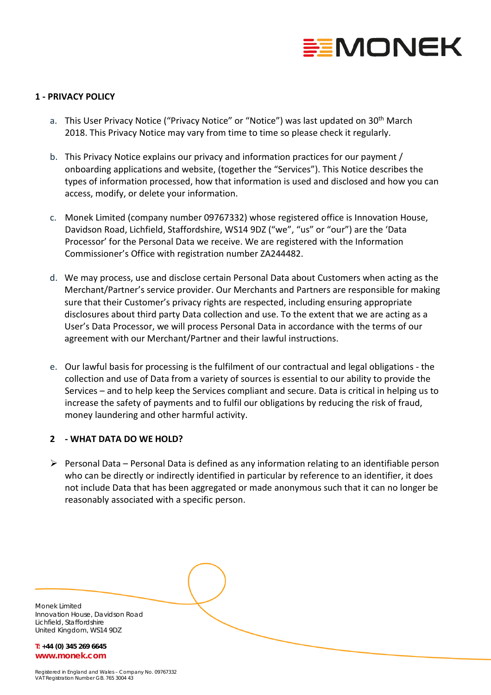

## **1 - PRIVACY POLICY**

- a. This User Privacy Notice ("Privacy Notice" or "Notice") was last updated on 30<sup>th</sup> March 2018. This Privacy Notice may vary from time to time so please check it regularly.
- b. This Privacy Notice explains our privacy and information practices for our payment / onboarding applications and website, (together the "Services"). This Notice describes the types of information processed, how that information is used and disclosed and how you can access, modify, or delete your information.
- c. Monek Limited (company number 09767332) whose registered office is Innovation House, Davidson Road, Lichfield, Staffordshire, WS14 9DZ ("we", "us" or "our") are the 'Data Processor' for the Personal Data we receive. We are registered with the Information Commissioner's Office with registration number ZA244482.
- d. We may process, use and disclose certain Personal Data about Customers when acting as the Merchant/Partner's service provider. Our Merchants and Partners are responsible for making sure that their Customer's privacy rights are respected, including ensuring appropriate disclosures about third party Data collection and use. To the extent that we are acting as a User's Data Processor, we will process Personal Data in accordance with the terms of our agreement with our Merchant/Partner and their lawful instructions.
- e. Our lawful basis for processing is the fulfilment of our contractual and legal obligations the collection and use of Data from a variety of sources is essential to our ability to provide the Services – and to help keep the Services compliant and secure. Data is critical in helping us to increase the safety of payments and to fulfil our obligations by reducing the risk of fraud, money laundering and other harmful activity.

### **2 - WHAT DATA DO WE HOLD?**

 $\triangleright$  Personal Data – Personal Data is defined as any information relating to an identifiable person who can be directly or indirectly identified in particular by reference to an identifier, it does not include Data that has been aggregated or made anonymous such that it can no longer be reasonably associated with a specific person.

Monek Limited Innovation House, Davidson Road Lichfield, Staffordshire United Kingdom, WS14 9DZ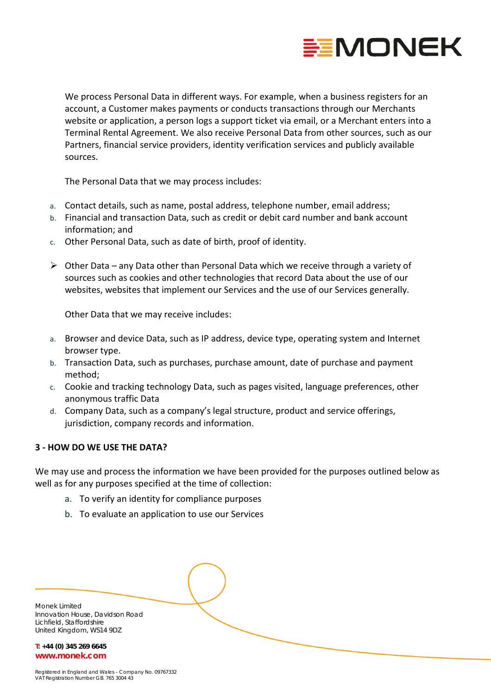

We process Personal Data in different ways. For example, when a business registers for an account, a Customer makes payments or conducts transactions through our Merchants website or application, a person logs a support ticket via email, or a Merchant enters into a Terminal Rental Agreement. We also receive Personal Data from other sources, such as our Partners, financial service providers, identity verification services and publicly available sources.

The Personal Data that we may process includes:

- a. Contact details, such as name, postal address, telephone number, email address;
- b. Financial and transaction Data, such as credit or debit card number and bank account information; and
- c. Other Personal Data, such as date of birth, proof of identity.
- $\triangleright$  Other Data any Data other than Personal Data which we receive through a variety of sources such as cookies and other technologies that record Data about the use of our websites, websites that implement our Services and the use of our Services generally.

Other Data that we may receive includes:

- a. Browser and device Data, such as IP address, device type, operating system and Internet browser type.
- b. Transaction Data, such as purchases, purchase amount, date of purchase and payment method;
- c. Cookie and tracking technology Data, such as pages visited, language preferences, other anonymous traffic Data
- d. Company Data, such as a company's legal structure, product and service offerings, jurisdiction, company records and information.

# **3 - HOW DO WE USE THE DATA?**

We may use and process the information we have been provided for the purposes outlined below as well as for any purposes specified at the time of collection:

- a. To verify an identity for compliance purposes
- b. To evaluate an application to use our Services

| Monek Limited<br>Innovation House, Davidson Road |  |
|--------------------------------------------------|--|
| Lichfield, Staffordshire                         |  |
| United Kingdom, WS14 9DZ                         |  |
| $T: +44$ (0) 345 269 6645                        |  |

**www.monek.com**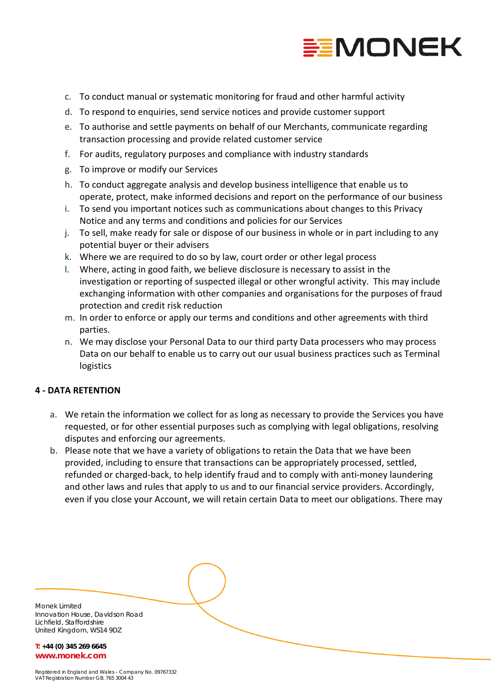

- c. To conduct manual or systematic monitoring for fraud and other harmful activity
- d. To respond to enquiries, send service notices and provide customer support
- e. To authorise and settle payments on behalf of our Merchants, communicate regarding transaction processing and provide related customer service
- f. For audits, regulatory purposes and compliance with industry standards
- g. To improve or modify our Services
- h. To conduct aggregate analysis and develop business intelligence that enable us to operate, protect, make informed decisions and report on the performance of our business
- i. To send you important notices such as communications about changes to this Privacy Notice and any terms and conditions and policies for our Services
- j. To sell, make ready for sale or dispose of our business in whole or in part including to any potential buyer or their advisers
- k. Where we are required to do so by law, court order or other legal process
- l. Where, acting in good faith, we believe disclosure is necessary to assist in the investigation or reporting of suspected illegal or other wrongful activity. This may include exchanging information with other companies and organisations for the purposes of fraud protection and credit risk reduction
- m. In order to enforce or apply our terms and conditions and other agreements with third parties.
- n. We may disclose your Personal Data to our third party Data processers who may process Data on our behalf to enable us to carry out our usual business practices such as Terminal logistics

### **4 - DATA RETENTION**

- a. We retain the information we collect for as long as necessary to provide the Services you have requested, or for other essential purposes such as complying with legal obligations, resolving disputes and enforcing our agreements.
- b. Please note that we have a variety of obligations to retain the Data that we have been provided, including to ensure that transactions can be appropriately processed, settled, refunded or charged-back, to help identify fraud and to comply with anti-money laundering and other laws and rules that apply to us and to our financial service providers. Accordingly, even if you close your Account, we will retain certain Data to meet our obligations. There may

Monek Limited Innovation House, Davidson Road Lichfield, Staffordshire United Kingdom, WS14 9DZ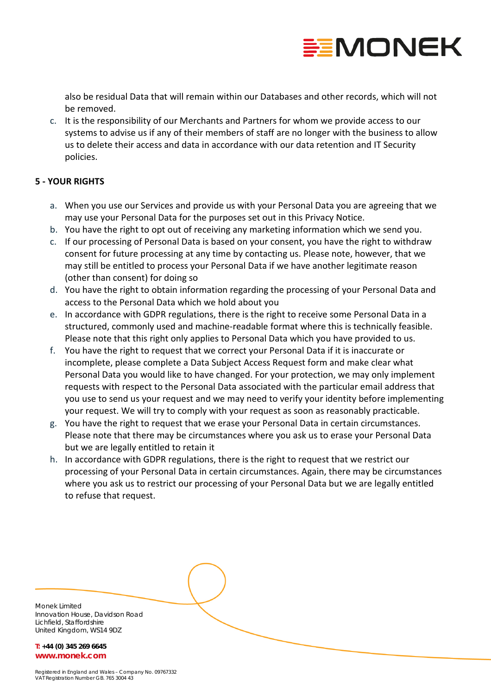

also be residual Data that will remain within our Databases and other records, which will not be removed.

c. It is the responsibility of our Merchants and Partners for whom we provide access to our systems to advise us if any of their members of staff are no longer with the business to allow us to delete their access and data in accordance with our data retention and IT Security policies.

## **5 - YOUR RIGHTS**

- a. When you use our Services and provide us with your Personal Data you are agreeing that we may use your Personal Data for the purposes set out in this Privacy Notice.
- b. You have the right to opt out of receiving any marketing information which we send you.
- c. If our processing of Personal Data is based on your consent, you have the right to withdraw consent for future processing at any time by contacting us. Please note, however, that we may still be entitled to process your Personal Data if we have another legitimate reason (other than consent) for doing so
- d. You have the right to obtain information regarding the processing of your Personal Data and access to the Personal Data which we hold about you
- e. In accordance with GDPR regulations, there is the right to receive some Personal Data in a structured, commonly used and machine-readable format where this is technically feasible. Please note that this right only applies to Personal Data which you have provided to us.
- f. You have the right to request that we correct your Personal Data if it is inaccurate or incomplete, please complete a Data Subject Access Request form and make clear what Personal Data you would like to have changed. For your protection, we may only implement requests with respect to the Personal Data associated with the particular email address that you use to send us your request and we may need to verify your identity before implementing your request. We will try to comply with your request as soon as reasonably practicable.
- g. You have the right to request that we erase your Personal Data in certain circumstances. Please note that there may be circumstances where you ask us to erase your Personal Data but we are legally entitled to retain it
- h. In accordance with GDPR regulations, there is the right to request that we restrict our processing of your Personal Data in certain circumstances. Again, there may be circumstances where you ask us to restrict our processing of your Personal Data but we are legally entitled to refuse that request.

Monek Limited Innovation House, Davidson Road Lichfield, Staffordshire United Kingdom, WS14 9DZ